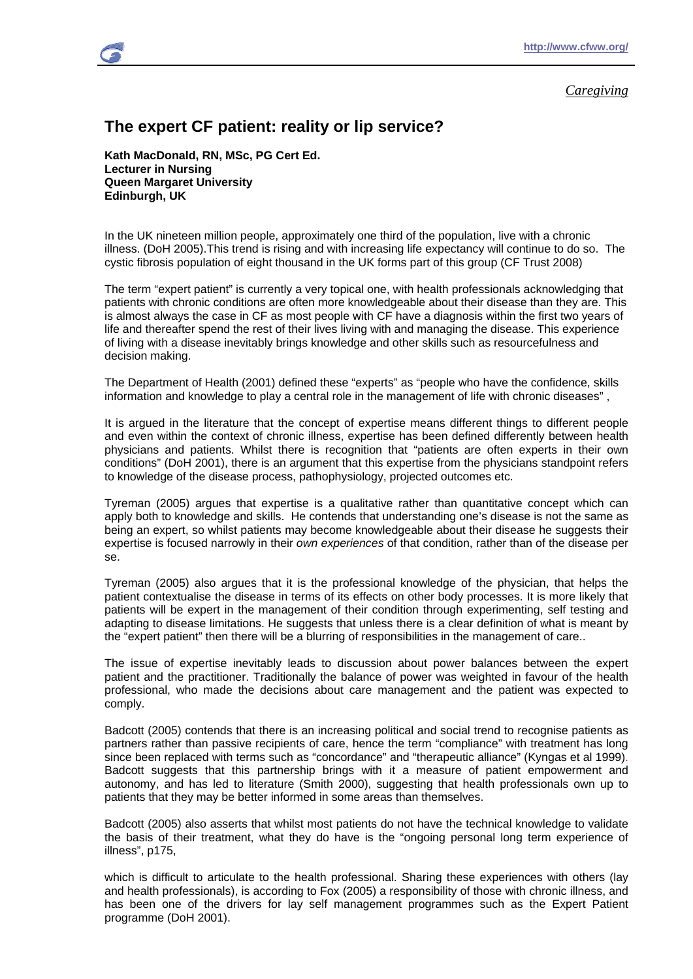# *Caregiving*

# **The expert CF patient: reality or lip service?**

**Kath MacDonald, RN, MSc, PG Cert Ed. Lecturer in Nursing Queen Margaret University Edinburgh, UK** 

In the UK nineteen million people, approximately one third of the population, live with a chronic illness. (DoH 2005).This trend is rising and with increasing life expectancy will continue to do so. The cystic fibrosis population of eight thousand in the UK forms part of this group (CF Trust 2008)

The term "expert patient" is currently a very topical one, with health professionals acknowledging that patients with chronic conditions are often more knowledgeable about their disease than they are. This is almost always the case in CF as most people with CF have a diagnosis within the first two years of life and thereafter spend the rest of their lives living with and managing the disease. This experience of living with a disease inevitably brings knowledge and other skills such as resourcefulness and decision making.

The Department of Health (2001) defined these "experts" as "people who have the confidence, skills information and knowledge to play a central role in the management of life with chronic diseases" ,

It is argued in the literature that the concept of expertise means different things to different people and even within the context of chronic illness, expertise has been defined differently between health physicians and patients. Whilst there is recognition that "patients are often experts in their own conditions" (DoH 2001), there is an argument that this expertise from the physicians standpoint refers to knowledge of the disease process, pathophysiology, projected outcomes etc.

Tyreman (2005) argues that expertise is a qualitative rather than quantitative concept which can apply both to knowledge and skills. He contends that understanding one's disease is not the same as being an expert, so whilst patients may become knowledgeable about their disease he suggests their expertise is focused narrowly in their *own experiences* of that condition, rather than of the disease per se.

Tyreman (2005) also argues that it is the professional knowledge of the physician, that helps the patient contextualise the disease in terms of its effects on other body processes. It is more likely that patients will be expert in the management of their condition through experimenting, self testing and adapting to disease limitations. He suggests that unless there is a clear definition of what is meant by the "expert patient" then there will be a blurring of responsibilities in the management of care..

The issue of expertise inevitably leads to discussion about power balances between the expert patient and the practitioner. Traditionally the balance of power was weighted in favour of the health professional, who made the decisions about care management and the patient was expected to comply.

Badcott (2005) contends that there is an increasing political and social trend to recognise patients as partners rather than passive recipients of care, hence the term "compliance" with treatment has long since been replaced with terms such as "concordance" and "therapeutic alliance" (Kyngas et al 1999). Badcott suggests that this partnership brings with it a measure of patient empowerment and autonomy, and has led to literature (Smith 2000), suggesting that health professionals own up to patients that they may be better informed in some areas than themselves.

Badcott (2005) also asserts that whilst most patients do not have the technical knowledge to validate the basis of their treatment, what they do have is the "ongoing personal long term experience of illness", p175,

which is difficult to articulate to the health professional. Sharing these experiences with others (lay and health professionals), is according to Fox (2005) a responsibility of those with chronic illness, and has been one of the drivers for lay self management programmes such as the Expert Patient programme (DoH 2001).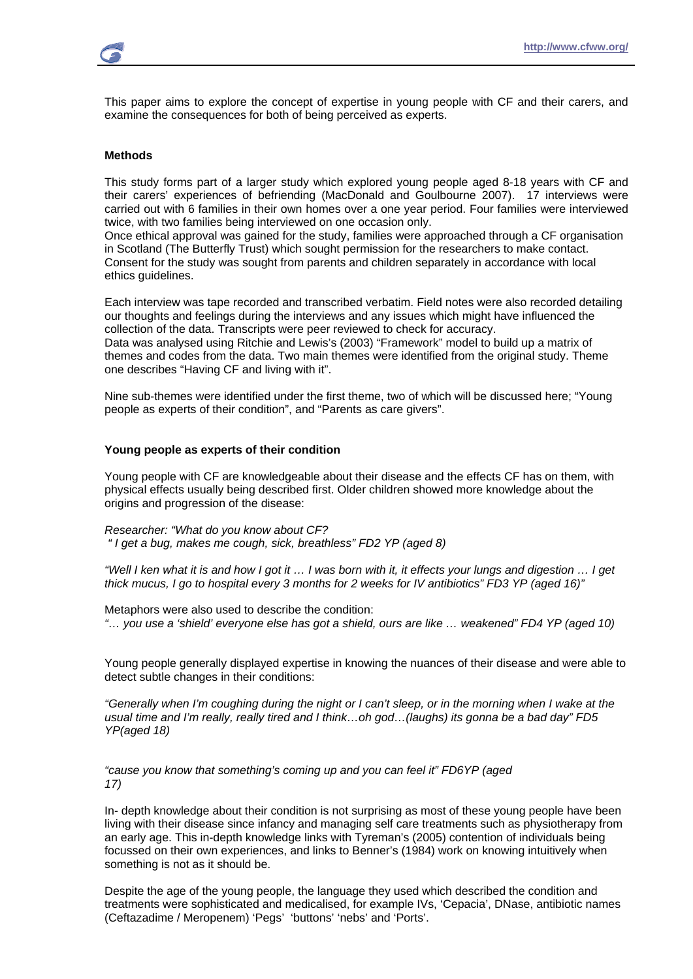This paper aims to explore the concept of expertise in young people with CF and their carers, and examine the consequences for both of being perceived as experts.

# **Methods**

This study forms part of a larger study which explored young people aged 8-18 years with CF and their carers' experiences of befriending (MacDonald and Goulbourne 2007). 17 interviews were carried out with 6 families in their own homes over a one year period. Four families were interviewed twice, with two families being interviewed on one occasion only.

Once ethical approval was gained for the study, families were approached through a CF organisation in Scotland (The Butterfly Trust) which sought permission for the researchers to make contact. Consent for the study was sought from parents and children separately in accordance with local ethics guidelines.

Each interview was tape recorded and transcribed verbatim. Field notes were also recorded detailing our thoughts and feelings during the interviews and any issues which might have influenced the collection of the data. Transcripts were peer reviewed to check for accuracy.

Data was analysed using Ritchie and Lewis's (2003) "Framework" model to build up a matrix of themes and codes from the data. Two main themes were identified from the original study. Theme one describes "Having CF and living with it".

Nine sub-themes were identified under the first theme, two of which will be discussed here; "Young people as experts of their condition", and "Parents as care givers".

### **Young people as experts of their condition**

Young people with CF are knowledgeable about their disease and the effects CF has on them, with physical effects usually being described first. Older children showed more knowledge about the origins and progression of the disease:

*Researcher: "What do you know about CF? " I get a bug, makes me cough, sick, breathless" FD2 YP (aged 8)* 

*"Well I ken what it is and how I got it … I was born with it, it effects your lungs and digestion … I get thick mucus, I go to hospital every 3 months for 2 weeks for IV antibiotics" FD3 YP (aged 16)"* 

Metaphors were also used to describe the condition: *"… you use a 'shield' everyone else has got a shield, ours are like … weakened" FD4 YP (aged 10)* 

Young people generally displayed expertise in knowing the nuances of their disease and were able to detect subtle changes in their conditions:

*"Generally when I'm coughing during the night or I can't sleep, or in the morning when I wake at the usual time and I'm really, really tired and I think…oh god…(laughs) its gonna be a bad day" FD5 YP(aged 18)* 

*"cause you know that something's coming up and you can feel it" FD6YP (aged 17)* 

In- depth knowledge about their condition is not surprising as most of these young people have been living with their disease since infancy and managing self care treatments such as physiotherapy from an early age. This in-depth knowledge links with Tyreman's (2005) contention of individuals being focussed on their own experiences, and links to Benner's (1984) work on knowing intuitively when something is not as it should be.

Despite the age of the young people, the language they used which described the condition and treatments were sophisticated and medicalised, for example IVs, 'Cepacia', DNase, antibiotic names (Ceftazadime / Meropenem) 'Pegs' 'buttons' 'nebs' and 'Ports'.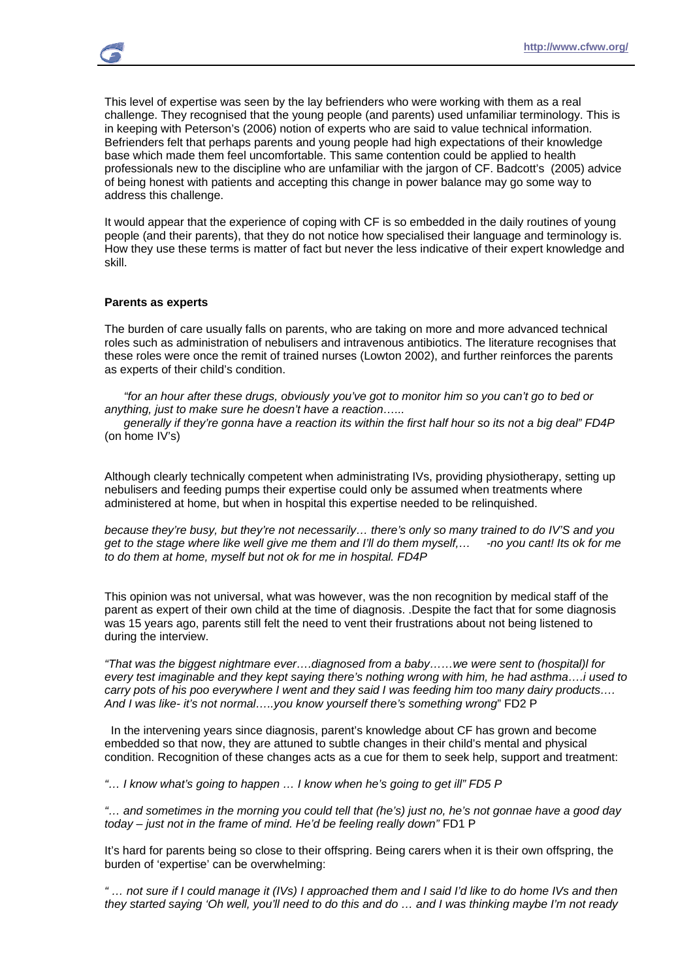This level of expertise was seen by the lay befrienders who were working with them as a real challenge. They recognised that the young people (and parents) used unfamiliar terminology. This is in keeping with Peterson's (2006) notion of experts who are said to value technical information. Befrienders felt that perhaps parents and young people had high expectations of their knowledge base which made them feel uncomfortable. This same contention could be applied to health professionals new to the discipline who are unfamiliar with the jargon of CF. Badcott's (2005) advice of being honest with patients and accepting this change in power balance may go some way to address this challenge.

It would appear that the experience of coping with CF is so embedded in the daily routines of young people (and their parents), that they do not notice how specialised their language and terminology is. How they use these terms is matter of fact but never the less indicative of their expert knowledge and skill.

#### **Parents as experts**

The burden of care usually falls on parents, who are taking on more and more advanced technical roles such as administration of nebulisers and intravenous antibiotics. The literature recognises that these roles were once the remit of trained nurses (Lowton 2002), and further reinforces the parents as experts of their child's condition.

 *"for an hour after these drugs, obviously you've got to monitor him so you can't go to bed or anything, just to make sure he doesn't have a reaction…...* 

 *generally if they're gonna have a reaction its within the first half hour so its not a big deal" FD4P*  (on home IV's)

Although clearly technically competent when administrating IVs, providing physiotherapy, setting up nebulisers and feeding pumps their expertise could only be assumed when treatments where administered at home, but when in hospital this expertise needed to be relinquished.

*because they're busy, but they're not necessarily… there's only so many trained to do IV'S and you get to the stage where like well give me them and I'll do them myself,… -no you cant! Its ok for me to do them at home, myself but not ok for me in hospital. FD4P* 

This opinion was not universal, what was however, was the non recognition by medical staff of the parent as expert of their own child at the time of diagnosis. .Despite the fact that for some diagnosis was 15 years ago, parents still felt the need to vent their frustrations about not being listened to during the interview.

*"That was the biggest nightmare ever….diagnosed from a baby……we were sent to (hospital)l for every test imaginable and they kept saying there's nothing wrong with him, he had asthma….i used to carry pots of his poo everywhere I went and they said I was feeding him too many dairy products…. And I was like- it's not normal…..you know yourself there's something wrong*" FD2 P

 In the intervening years since diagnosis, parent's knowledge about CF has grown and become embedded so that now, they are attuned to subtle changes in their child's mental and physical condition. Recognition of these changes acts as a cue for them to seek help, support and treatment:

*"… I know what's going to happen … I know when he's going to get ill" FD5 P* 

*"… and sometimes in the morning you could tell that (he's) just no, he's not gonnae have a good day today – just not in the frame of mind. He'd be feeling really down"* FD1 P

It's hard for parents being so close to their offspring. Being carers when it is their own offspring, the burden of 'expertise' can be overwhelming:

*" … not sure if I could manage it (IVs) I approached them and I said I'd like to do home IVs and then they started saying 'Oh well, you'll need to do this and do … and I was thinking maybe I'm not ready*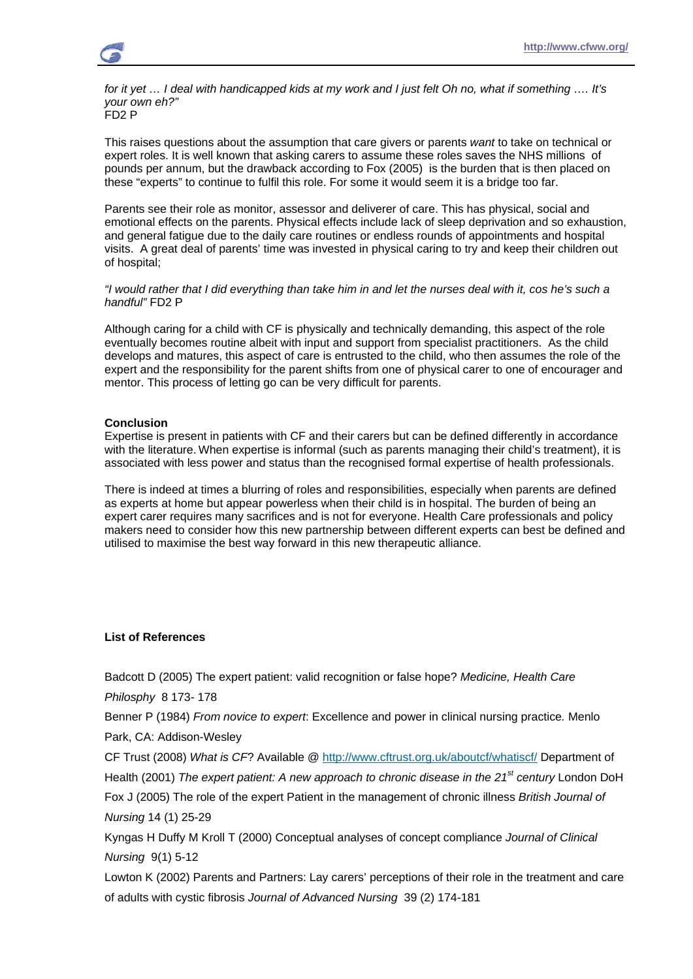*for it yet … I deal with handicapped kids at my work and I just felt Oh no, what if something …. It's your own eh?"*  FD2 P

This raises questions about the assumption that care givers or parents *want* to take on technical or expert roles. It is well known that asking carers to assume these roles saves the NHS millions of pounds per annum, but the drawback according to Fox (2005) is the burden that is then placed on these "experts" to continue to fulfil this role. For some it would seem it is a bridge too far.

Parents see their role as monitor, assessor and deliverer of care. This has physical, social and emotional effects on the parents. Physical effects include lack of sleep deprivation and so exhaustion, and general fatigue due to the daily care routines or endless rounds of appointments and hospital visits. A great deal of parents' time was invested in physical caring to try and keep their children out of hospital;

*"I would rather that I did everything than take him in and let the nurses deal with it, cos he's such a handful"* FD2 P

Although caring for a child with CF is physically and technically demanding, this aspect of the role eventually becomes routine albeit with input and support from specialist practitioners. As the child develops and matures, this aspect of care is entrusted to the child, who then assumes the role of the expert and the responsibility for the parent shifts from one of physical carer to one of encourager and mentor. This process of letting go can be very difficult for parents.

# **Conclusion**

Expertise is present in patients with CF and their carers but can be defined differently in accordance with the literature. When expertise is informal (such as parents managing their child's treatment), it is associated with less power and status than the recognised formal expertise of health professionals.

There is indeed at times a blurring of roles and responsibilities, especially when parents are defined as experts at home but appear powerless when their child is in hospital. The burden of being an expert carer requires many sacrifices and is not for everyone. Health Care professionals and policy makers need to consider how this new partnership between different experts can best be defined and utilised to maximise the best way forward in this new therapeutic alliance.

# **List of References**

Badcott D (2005) The expert patient: valid recognition or false hope? *Medicine, Health Care Philosphy* 8 173- 178

Benner P (1984) *From novice to expert*: Excellence and power in clinical nursing practice*.* Menlo Park, CA: Addison-Wesley

CF Trust (2008) *What is CF*? Available @ http://www.cftrust.org.uk/aboutcf/whatiscf/ Department of Health (2001) *The expert patient: A new approach to chronic disease in the 21st century* London DoH Fox J (2005) The role of the expert Patient in the management of chronic illness *British Journal of* 

*Nursing* 14 (1) 25-29

Kyngas H Duffy M Kroll T (2000) Conceptual analyses of concept compliance *Journal of Clinical Nursing* 9(1) 5-12

Lowton K (2002) Parents and Partners: Lay carers' perceptions of their role in the treatment and care of adults with cystic fibrosis *Journal of Advanced Nursing* 39 (2) 174-181